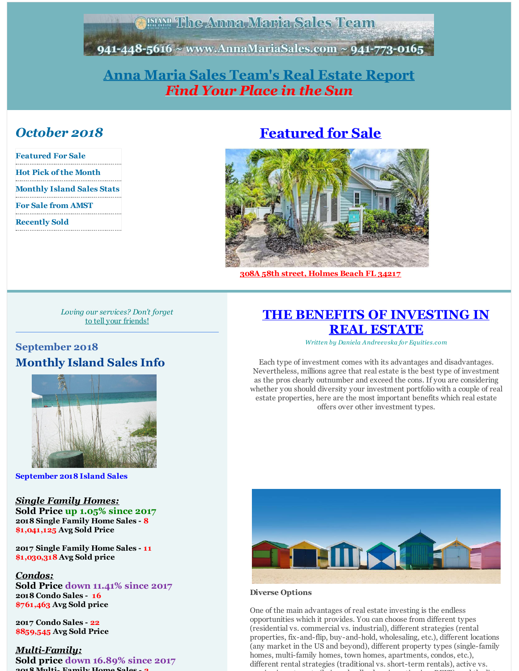**EAMP The Anna Maria Sales Team** 

<span id="page-0-0"></span>941-448-5616 ~ www.AnnaMariaSales.com ~ 941-773-0165

## **Anna Maria Sales [Team's](http://www.annamariasales.com) Real Estate Report** *Find Your Place in the Sun*

## *October 2018*

| <b>Featured For Sale</b>          |
|-----------------------------------|
| Hot Pick of the Month             |
| <b>Monthly Island Sales Stats</b> |
| <b>For Sale from AMST</b>         |
| <b>Recently Sold</b>              |
|                                   |

# **[Featured](http://annamariasales.com/idx/mls-a4418193-308_58th_street_a_holmes_beach_fl_34217) for Sale**



**308A 58th street, [Holmes](http://annamariasales.com/idx/mls-a4418193-308_58th_street_a_holmes_beach_fl_34217) Beach FL 34217**

*Loving our services? Don't forget* to tell your [friends!](mailto:annamariasalesteam@gmail.com)

## **September 2018 Monthly Island Sales Info**



**September 2018 Island Sales**

#### *Single Family Homes:* **Sold Price up 1.05% since 2017**

**2018 Single Family Home Sales - 8 \$1,041,125 Avg Sold Price**

**2017 Single Family Home Sales - 11 \$1,030,318 Avg Sold price**

#### *Condos:*

**Sold Price down 11.41% since 2017 2018 Condo Sales - 16 \$761,463 Avg Sold price**

**2017 Condo Sales - 22 \$859,545 Avg Sold Price**

#### *Multi-Family:*

**Sold price down 16.89% since 2017 2018 Multi- Family Home Sales - 2**

## **THE BENEFITS OF [INVESTING](http://annamariasales.com/the-benefits-of-investing-in-real-estate/) IN REAL ESTATE**

*Written by Daniela Andreevska for Equities.com*

Each type of investment comes with its advantages and disadvantages. Nevertheless, millions agree that real estate is the best type of investment as the pros clearly outnumber and exceed the cons. If you are considering whether you should diversity your investment portfolio with a couple of real estate properties, here are the most important benefits which real estate offers over other investment types.



#### **Diverse Options**

One of the main advantages of real estate investing is the endless opportunities which it provides. You can choose from different types (residential vs. commercial vs. industrial), different strategies (rental properties, fix-and-flip, buy-and-hold, wholesaling, etc.), different locations (any market in the US and beyond), different property types (single-family homes, multi-family homes, town homes, apartments, condos, etc.), different rental strategies (traditional vs. short-term rentals), active vs. passive investments (being a landlord vs. investing in a REIT), and the list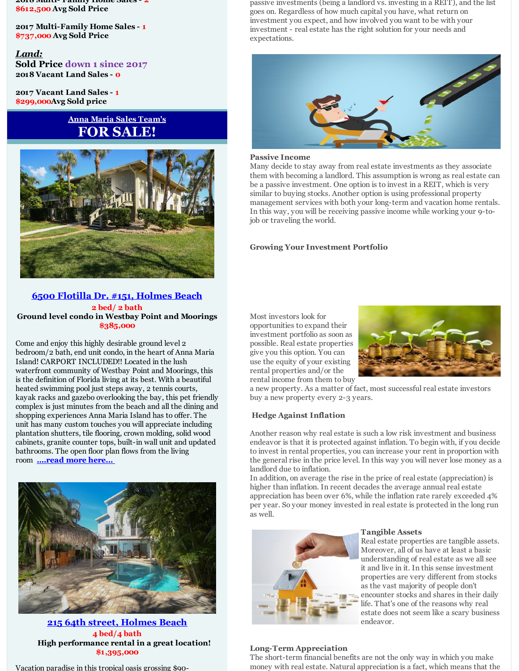**2018 Multi- Family Home Sales - 2 \$612,500 Avg Sold Price**

**2017 Multi-Family Home Sales - 1 \$737,000 Avg Sold Price**

*Land:* **Sold Price down 1 since 2017 2018 Vacant Land Sales - 0**

**2017 Vacant Land Sales - 1 \$299,000Avg Sold price**

## **Anna Maria Sales Team's FOR SALE!**



#### **6500 Flotilla Dr. #151, [Holmes](http://annamariasales.com/idx/mls-a4415886-6500_flotilla_drive_151_holmes_beach_fl_34217) Beach 2 bed/ 2 bath Ground level condo in Westbay Point and Moorings \$385,000**

Come and enjoy this highly desirable ground level 2 bedroom/2 bath, end unit condo, in the heart of Anna Maria Island! CARPORT INCLUDED!! Located in the lush waterfront community of Westbay Point and Moorings, this is the definition of Florida living at its best. With a beautiful heated swimming pool just steps away, 2 tennis courts, kayak racks and gazebo overlooking the bay, this pet friendly complex is just minutes from the beach and all the dining and shopping experiences Anna Maria Island has to offer. The unit has many custom touches you will appreciate including plantation shutters, tile flooring, crown molding, solid wood cabinets, granite counter tops, built-in wall unit and updated bathrooms. The open floor plan flows from the living room **[....read](http://annamariasales.com/idx/mls-a4415886-6500_flotilla_drive_151_holmes_beach_fl_34217) more here...**



**215 64th street, [Holmes](http://annamariasales.com/idx/mls-a4207725-215_64th_street_holmes_beach_fl_34217) Beach 4 bed/4 bath High performance rental in a great location! \$1,395,000**

Vacation paradise in this tropical oasis grossing \$90-

passive investments (being a landlord vs. investing in a REIT), and the list goes on. Regardless of how much capital you have, what return on investment you expect, and how involved you want to be with your investment - real estate has the right solution for your needs and expectations.



#### **Passive Income**

Many decide to stay away from real estate investments as they associate them with becoming a landlord. This assumption is wrong as real estate can be a passive investment. One option is to invest in a REIT, which is very similar to buying stocks. Another option is using professional property management services with both your long-term and vacation home rentals. In this way, you will be receiving passive income while working your 9-tojob or traveling the world.

#### **Growing Your Investment Portfolio**

Most investors look for opportunities to expand their investment portfolio as soon as possible. Real estate properties give you this option. You can use the equity of your existing rental properties and/or the rental income from them to buy



a new property. As a matter of fact, most successful real estate investors buy a new property every 2-3 years.

#### **Hedge Against Inflation**

Another reason why real estate is such a low risk investment and business endeavor is that it is protected against inflation. To begin with, if you decide to invest in rental properties, you can increase your rent in proportion with the general rise in the price level. In this way you will never lose money as a landlord due to inflation.

In addition, on average the rise in the price of real estate (appreciation) is higher than inflation. In recent decades the average annual real estate appreciation has been over 6%, while the inflation rate rarely exceeded 4% per year. So your money invested in real estate is protected in the long run as well.



#### **Tangible Assets**

Real estate properties are tangible assets. Moreover, all of us have at least a basic understanding of real estate as we all see it and live in it. In this sense investment properties are very different from stocks as the vast majority of people don't encounter stocks and shares in their daily life. That's one of the reasons why real estate does not seem like a scary business endeavor.

#### **Long-Term Appreciation**

The short-term financial benefits are not the only way in which you make money with real estate. Natural appreciation is a fact, which means that the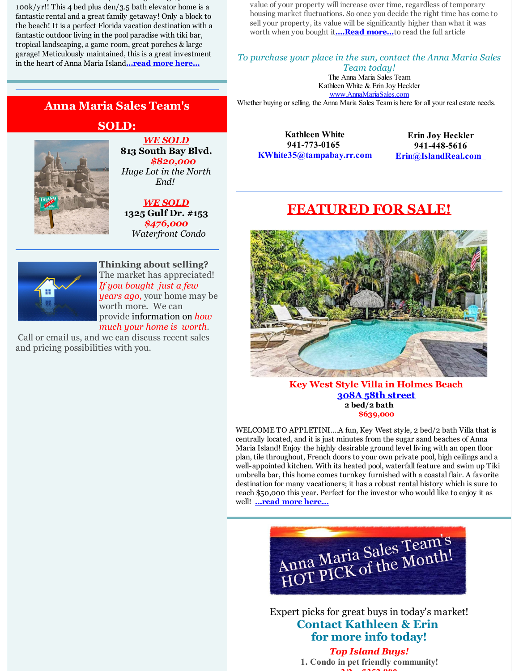Vacation paradise in this tropical oasis grossing \$90- 100k/yr!! This 4 bed plus den/3.5 bath elevator home is a fantastic rental and a great family getaway! Only a block to the beach! It is a perfect Florida vacation destination with a fantastic outdoor living in the pool paradise with tiki bar, tropical landscaping, a game room, great porches & large garage! Meticulously maintained, this is a great investment in the heart of Anna Maria Island**[...read](http://annamariasales.com/idx/mls-a4207725-215_64th_street_holmes_beach_fl_34217) more here...**

value of your property will increase over time, regardless of temporary housing market fluctuations. So once you decide the right time has come to sell your property, its value will be significantly higher than what it was worth when you bought it**[....Read](http://annamariasales.com/the-benefits-of-investing-in-real-estate/) more...**to read the full article

*To purchase your place in the sun, contact the Anna Maria Sales*

*Team today!* The Anna Maria Sales Team Kathleen White & Erin Joy Heckler [www.AnnaMariaSales.com](http://www.annamariasales.com)

Whether buying or selling, the Anna Maria Sales Team is here for all your real estate needs.

## **Anna Maria Sales Team's**

### **SOLD:**



*WE SOLD* **813 South Bay Blvd.** *\$820,000 Huge Lot in the North End!*

*WE SOLD* **1325 Gulf Dr. #153** *\$476,000 Waterfront Condo*



**Thinking about selling?** The market has appreciated! *If you bought just a few years ago*, your home may be worth more. We can provide information on *how*

*much your home is worth*.

Call or email us, and we can discuss recent sales and pricing possibilities with you.

**Kathleen White 941-773-0165 [KWhite35@tampabay.rr.com](mailto:KWhite35@tampabay.rr.com)**

**Erin Joy Heckler 941-448-5616 [Erin@IslandReal.com](mailto:erin@islandreal.com)**

# **[FEATURED](http://annamariasales.com/idx/mls-a4418193-308_58th_street_a_holmes_beach_fl_34217) FOR SALE!**



**Key West Style Villa in Holmes Beach 308A 58th [street](http://annamariasales.com/idx/mls-a4418193-308_58th_street_a_holmes_beach_fl_34217) 2 bed/2 bath \$639,000**

WELCOME TO APPLETINI....A fun, Key West style, 2 bed/2 bath Villa that is centrally located, and it is just minutes from the sugar sand beaches of Anna Maria Island! Enjoy the highly desirable ground level living with an open floor plan, tile throughout, French doors to your own private pool, high ceilings and a well-appointed kitchen. With its heated pool, waterfall feature and swim up Tiki umbrella bar, this home comes turnkey furnished with a coastal flair. A favorite destination for many vacationers; it has a robust rental history which is sure to reach \$50,000 this year. Perfect for the investor who would like to enjoy it as well! **[...read](http://annamariasales.com/idx/mls-a4418193-308_58th_street_a_holmes_beach_fl_34217) more here...**



Expert picks for great buys in today's market! **Contact Kathleen & Erin for more info today!**

# *Top Island Buys!*

**1. Condo in pet friendly community! 2/2 ~ \$352,900**